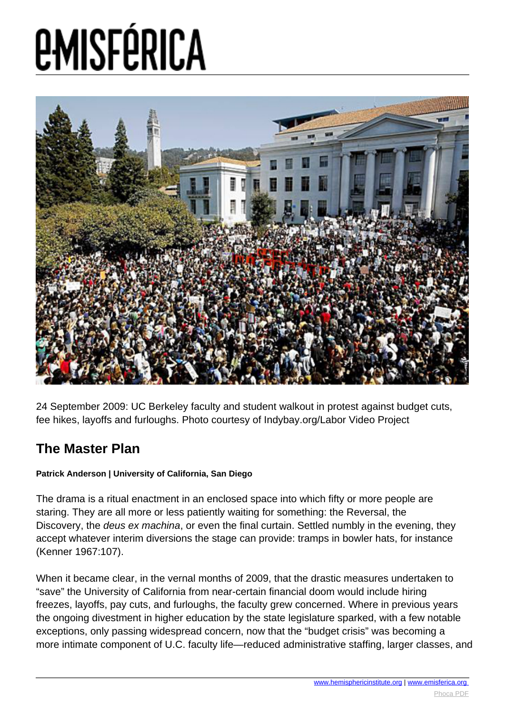# **EMISFÉRICA**



24 September 2009: UC Berkeley faculty and student walkout in protest against budget cuts, fee hikes, layoffs and furloughs. Photo courtesy of Indybay.org/Labor Video Project

#### **The Master Plan**

#### **Patrick Anderson | University of California, San Diego**

The drama is a ritual enactment in an enclosed space into which fifty or more people are staring. They are all more or less patiently waiting for something: the Reversal, the Discovery, the *deus ex machina*, or even the final curtain. Settled numbly in the evening, they accept whatever interim diversions the stage can provide: tramps in bowler hats, for instance (Kenner 1967:107).

When it became clear, in the vernal months of 2009, that the drastic measures undertaken to "save" the University of California from near-certain financial doom would include hiring freezes, layoffs, pay cuts, and furloughs, the faculty grew concerned. Where in previous years the ongoing divestment in higher education by the state legislature sparked, with a few notable exceptions, only passing widespread concern, now that the "budget crisis" was becoming a more intimate component of U.C. faculty life—reduced administrative staffing, larger classes, and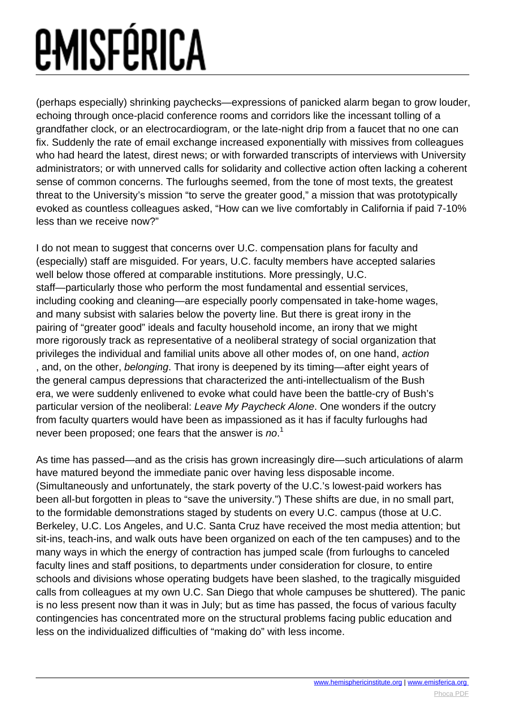(perhaps especially) shrinking paychecks—expressions of panicked alarm began to grow louder, echoing through once-placid conference rooms and corridors like the incessant tolling of a grandfather clock, or an electrocardiogram, or the late-night drip from a faucet that no one can fix. Suddenly the rate of email exchange increased exponentially with missives from colleagues who had heard the latest, direst news; or with forwarded transcripts of interviews with University administrators; or with unnerved calls for solidarity and collective action often lacking a coherent sense of common concerns. The furloughs seemed, from the tone of most texts, the greatest threat to the University's mission "to serve the greater good," a mission that was prototypically evoked as countless colleagues asked, "How can we live comfortably in California if paid 7-10% less than we receive now?"

I do not mean to suggest that concerns over U.C. compensation plans for faculty and (especially) staff are misguided. For years, U.C. faculty members have accepted salaries well below those offered at comparable institutions. More pressingly, U.C. staff—particularly those who perform the most fundamental and essential services, including cooking and cleaning—are especially poorly compensated in take-home wages, and many subsist with salaries below the poverty line. But there is great irony in the pairing of "greater good" ideals and faculty household income, an irony that we might more rigorously track as representative of a neoliberal strategy of social organization that privileges the individual and familial units above all other modes of, on one hand, action , and, on the other, belonging. That irony is deepened by its timing—after eight years of the general campus depressions that characterized the anti-intellectualism of the Bush era, we were suddenly enlivened to evoke what could have been the battle-cry of Bush's particular version of the neoliberal: Leave My Paycheck Alone. One wonders if the outcry from faculty quarters would have been as impassioned as it has if faculty furloughs had never been proposed; one fears that the answer is  $no.^1$ 

As time has passed—and as the crisis has grown increasingly dire—such articulations of alarm have matured beyond the immediate panic over having less disposable income. (Simultaneously and unfortunately, the stark poverty of the U.C.'s lowest-paid workers has been all-but forgotten in pleas to "save the university.") These shifts are due, in no small part, to the formidable demonstrations staged by students on every U.C. campus (those at U.C. Berkeley, U.C. Los Angeles, and U.C. Santa Cruz have received the most media attention; but sit-ins, teach-ins, and walk outs have been organized on each of the ten campuses) and to the many ways in which the energy of contraction has jumped scale (from furloughs to canceled faculty lines and staff positions, to departments under consideration for closure, to entire schools and divisions whose operating budgets have been slashed, to the tragically misguided calls from colleagues at my own U.C. San Diego that whole campuses be shuttered). The panic is no less present now than it was in July; but as time has passed, the focus of various faculty contingencies has concentrated more on the structural problems facing public education and less on the individualized difficulties of "making do" with less income.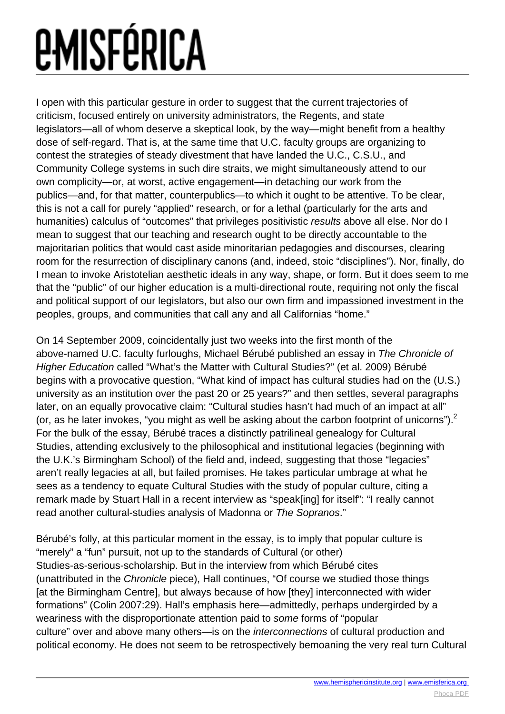I open with this particular gesture in order to suggest that the current trajectories of criticism, focused entirely on university administrators, the Regents, and state legislators—all of whom deserve a skeptical look, by the way—might benefit from a healthy dose of self-regard. That is, at the same time that U.C. faculty groups are organizing to contest the strategies of steady divestment that have landed the U.C., C.S.U., and Community College systems in such dire straits, we might simultaneously attend to our own complicity—or, at worst, active engagement—in detaching our work from the publics—and, for that matter, counterpublics—to which it ought to be attentive. To be clear, this is not a call for purely "applied" research, or for a lethal (particularly for the arts and humanities) calculus of "outcomes" that privileges positivistic results above all else. Nor do I mean to suggest that our teaching and research ought to be directly accountable to the majoritarian politics that would cast aside minoritarian pedagogies and discourses, clearing room for the resurrection of disciplinary canons (and, indeed, stoic "disciplines"). Nor, finally, do I mean to invoke Aristotelian aesthetic ideals in any way, shape, or form. But it does seem to me that the "public" of our higher education is a multi-directional route, requiring not only the fiscal and political support of our legislators, but also our own firm and impassioned investment in the peoples, groups, and communities that call any and all Californias "home."

On 14 September 2009, coincidentally just two weeks into the first month of the above-named U.C. faculty furloughs, Michael Bérubé published an essay in The Chronicle of Higher Education called "What's the Matter with Cultural Studies?" (et al. 2009) Bérubé begins with a provocative question, "What kind of impact has cultural studies had on the (U.S.) university as an institution over the past 20 or 25 years?" and then settles, several paragraphs later, on an equally provocative claim: "Cultural studies hasn't had much of an impact at all" (or, as he later invokes, "you might as well be asking about the carbon footprint of unicorns"). $^2$ For the bulk of the essay, Bérubé traces a distinctly patrilineal genealogy for Cultural Studies, attending exclusively to the philosophical and institutional legacies (beginning with the U.K.'s Birmingham School) of the field and, indeed, suggesting that those "legacies" aren't really legacies at all, but failed promises. He takes particular umbrage at what he sees as a tendency to equate Cultural Studies with the study of popular culture, citing a remark made by Stuart Hall in a recent interview as "speak[ing] for itself": "I really cannot read another cultural-studies analysis of Madonna or The Sopranos."

Bérubé's folly, at this particular moment in the essay, is to imply that popular culture is "merely" a "fun" pursuit, not up to the standards of Cultural (or other) Studies-as-serious-scholarship. But in the interview from which Bérubé cites (unattributed in the Chronicle piece), Hall continues, "Of course we studied those things [at the Birmingham Centre], but always because of how [they] interconnected with wider formations" (Colin 2007:29). Hall's emphasis here—admittedly, perhaps undergirded by a weariness with the disproportionate attention paid to some forms of "popular culture" over and above many others—is on the interconnections of cultural production and political economy. He does not seem to be retrospectively bemoaning the very real turn Cultural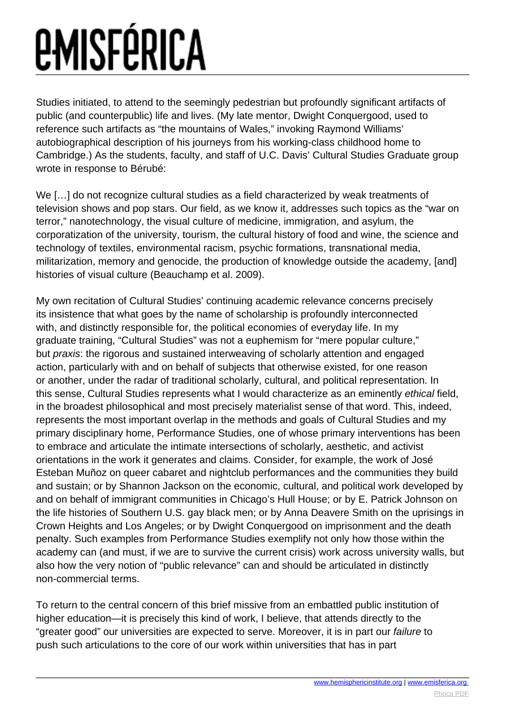## *EMISFÉRICA*

Studies initiated, to attend to the seemingly pedestrian but profoundly significant artifacts of public (and counterpublic) life and lives. (My late mentor, Dwight Conquergood, used to reference such artifacts as "the mountains of Wales," invoking Raymond Williams' autobiographical description of his journeys from his working-class childhood home to Cambridge.) As the students, faculty, and staff of U.C. Davis' Cultural Studies Graduate group wrote in response to Bérubé:

We [...] do not recognize cultural studies as a field characterized by weak treatments of television shows and pop stars. Our field, as we know it, addresses such topics as the "war on terror," nanotechnology, the visual culture of medicine, immigration, and asylum, the corporatization of the university, tourism, the cultural history of food and wine, the science and technology of textiles, environmental racism, psychic formations, transnational media, militarization, memory and genocide, the production of knowledge outside the academy, [and] histories of visual culture (Beauchamp et al. 2009).

My own recitation of Cultural Studies' continuing academic relevance concerns precisely its insistence that what goes by the name of scholarship is profoundly interconnected with, and distinctly responsible for, the political economies of everyday life. In my graduate training, "Cultural Studies" was not a euphemism for "mere popular culture," but praxis: the rigorous and sustained interweaving of scholarly attention and engaged action, particularly with and on behalf of subjects that otherwise existed, for one reason or another, under the radar of traditional scholarly, cultural, and political representation. In this sense, Cultural Studies represents what I would characterize as an eminently ethical field, in the broadest philosophical and most precisely materialist sense of that word. This, indeed, represents the most important overlap in the methods and goals of Cultural Studies and my primary disciplinary home, Performance Studies, one of whose primary interventions has been to embrace and articulate the intimate intersections of scholarly, aesthetic, and activist orientations in the work it generates and claims. Consider, for example, the work of José Esteban Muñoz on queer cabaret and nightclub performances and the communities they build and sustain; or by Shannon Jackson on the economic, cultural, and political work developed by and on behalf of immigrant communities in Chicago's Hull House; or by E. Patrick Johnson on the life histories of Southern U.S. gay black men; or by Anna Deavere Smith on the uprisings in Crown Heights and Los Angeles; or by Dwight Conquergood on imprisonment and the death penalty. Such examples from Performance Studies exemplify not only how those within the academy can (and must, if we are to survive the current crisis) work across university walls, but also how the very notion of "public relevance" can and should be articulated in distinctly non-commercial terms.

To return to the central concern of this brief missive from an embattled public institution of higher education—it is precisely this kind of work, I believe, that attends directly to the "greater good" our universities are expected to serve. Moreover, it is in part our failure to push such articulations to the core of our work within universities that has in part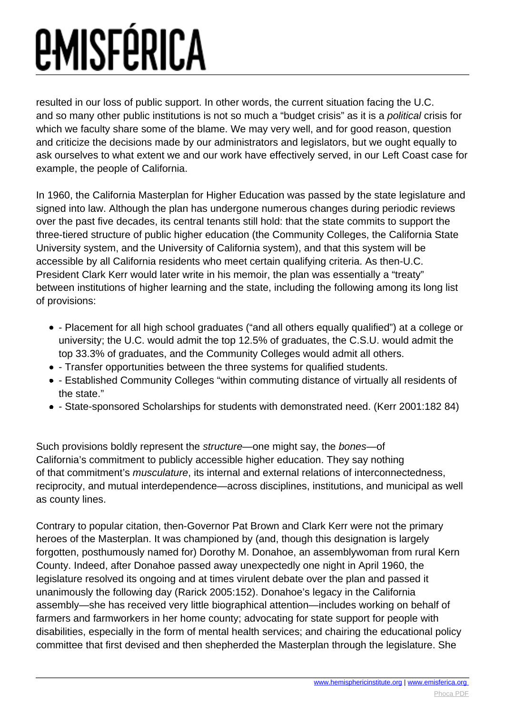resulted in our loss of public support. In other words, the current situation facing the U.C. and so many other public institutions is not so much a "budget crisis" as it is a political crisis for which we faculty share some of the blame. We may very well, and for good reason, question and criticize the decisions made by our administrators and legislators, but we ought equally to ask ourselves to what extent we and our work have effectively served, in our Left Coast case for example, the people of California.

In 1960, the California Masterplan for Higher Education was passed by the state legislature and signed into law. Although the plan has undergone numerous changes during periodic reviews over the past five decades, its central tenants still hold: that the state commits to support the three-tiered structure of public higher education (the Community Colleges, the California State University system, and the University of California system), and that this system will be accessible by all California residents who meet certain qualifying criteria. As then-U.C. President Clark Kerr would later write in his memoir, the plan was essentially a "treaty" between institutions of higher learning and the state, including the following among its long list of provisions:

- Placement for all high school graduates ("and all others equally qualified") at a college or university; the U.C. would admit the top 12.5% of graduates, the C.S.U. would admit the top 33.3% of graduates, and the Community Colleges would admit all others.
- Transfer opportunities between the three systems for qualified students.
- Established Community Colleges "within commuting distance of virtually all residents of the state."
- State-sponsored Scholarships for students with demonstrated need. (Kerr 2001:182 84)

Such provisions boldly represent the structure—one might say, the bones—of California's commitment to publicly accessible higher education. They say nothing of that commitment's musculature, its internal and external relations of interconnectedness, reciprocity, and mutual interdependence—across disciplines, institutions, and municipal as well as county lines.

Contrary to popular citation, then-Governor Pat Brown and Clark Kerr were not the primary heroes of the Masterplan. It was championed by (and, though this designation is largely forgotten, posthumously named for) Dorothy M. Donahoe, an assemblywoman from rural Kern County. Indeed, after Donahoe passed away unexpectedly one night in April 1960, the legislature resolved its ongoing and at times virulent debate over the plan and passed it unanimously the following day (Rarick 2005:152). Donahoe's legacy in the California assembly—she has received very little biographical attention—includes working on behalf of farmers and farmworkers in her home county; advocating for state support for people with disabilities, especially in the form of mental health services; and chairing the educational policy committee that first devised and then shepherded the Masterplan through the legislature. She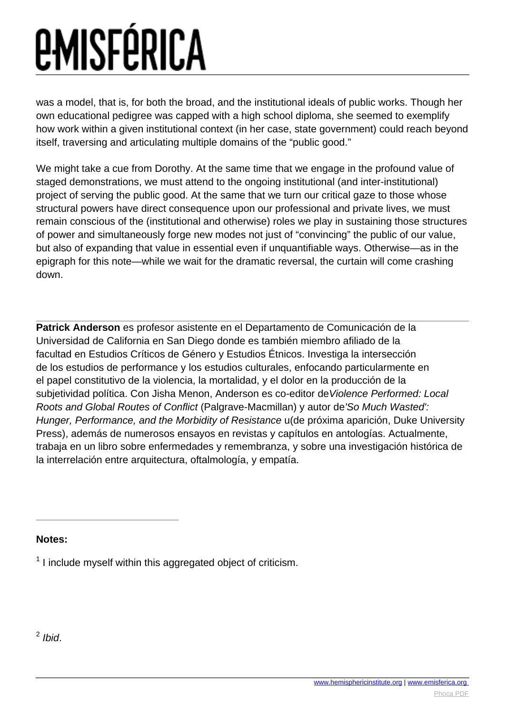was a model, that is, for both the broad, and the institutional ideals of public works. Though her own educational pedigree was capped with a high school diploma, she seemed to exemplify how work within a given institutional context (in her case, state government) could reach beyond itself, traversing and articulating multiple domains of the "public good."

We might take a cue from Dorothy. At the same time that we engage in the profound value of staged demonstrations, we must attend to the ongoing institutional (and inter-institutional) project of serving the public good. At the same that we turn our critical gaze to those whose structural powers have direct consequence upon our professional and private lives, we must remain conscious of the (institutional and otherwise) roles we play in sustaining those structures of power and simultaneously forge new modes not just of "convincing" the public of our value, but also of expanding that value in essential even if unquantifiable ways. Otherwise—as in the epigraph for this note—while we wait for the dramatic reversal, the curtain will come crashing down.

**Patrick Anderson** es profesor asistente en el Departamento de Comunicación de la Universidad de California en San Diego donde es también miembro afiliado de la facultad en Estudios Críticos de Género y Estudios Étnicos. Investiga la intersección de los estudios de performance y los estudios culturales, enfocando particularmente en el papel constitutivo de la violencia, la mortalidad, y el dolor en la producción de la subjetividad política. Con Jisha Menon, Anderson es co-editor de Violence Performed: Local Roots and Global Routes of Conflict (Palgrave-Macmillan) y autor de'So Much Wasted': Hunger, Performance, and the Morbidity of Resistance u(de próxima aparición, Duke University Press), además de numerosos ensayos en revistas y capítulos en antologías. Actualmente, trabaja en un libro sobre enfermedades y remembranza, y sobre una investigación histórica de la interrelación entre arquitectura, oftalmología, y empatía.

**Notes:**

 $1$  I include myself within this aggregated object of criticism.

 $<sup>2</sup>$  Ibid.</sup>